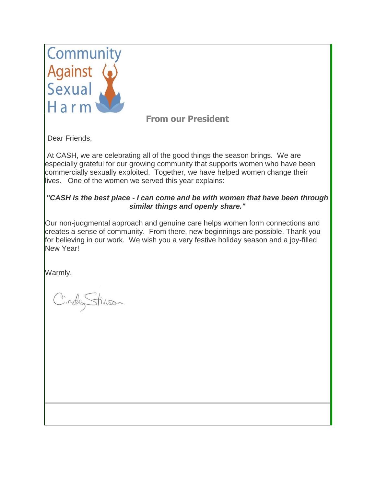

## **From our President**

Dear Friends,

At CASH, we are celebrating all of the good things the season brings. We are especially grateful for our growing community that supports women who have been commercially sexually exploited. Together, we have helped women change their lives. One of the women we served this year explains:

## *"CASH is the best place - I can come and be with women that have been through similar things and openly share."*

Our non-judgmental approach and genuine care helps women form connections and creates a sense of community. From there, new beginnings are possible. Thank you for believing in our work. We wish you a very festive holiday season and a joy-filled New Year!

Warmly,

CindyStinson